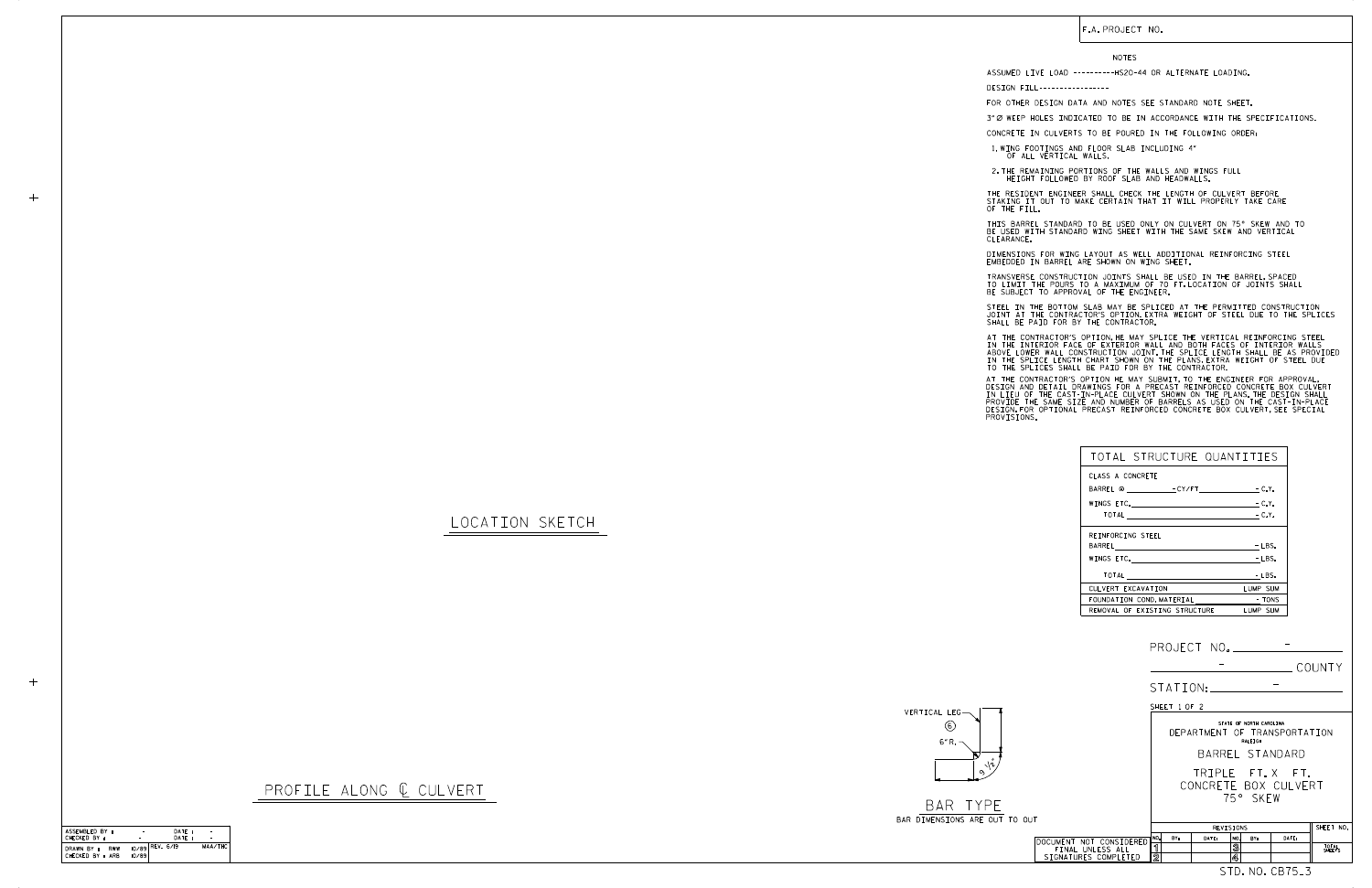STD. NO. CB75\_3

CHECKED BY : ASSEMBLED BY : DATE : DATE : –−<br>MAA/THC ASSEMBLED BY : AND THE CHECKED BY :<br>CHECKED BY : RWW 10/89 REV. 6/19<br>DRAWN BY : RWW 10/89 REV. 6/19<br>CHECKED BY : ARB 10/89 - -

 $+$ 

 $+$ 

|                                          | COUNTY                                                             |  |  |
|------------------------------------------|--------------------------------------------------------------------|--|--|
|                                          | STATION: _____                                                     |  |  |
|                                          | SHEET 1 OF 2                                                       |  |  |
|                                          | STATE OF NORTH CAROLINA<br>DEPARTMENT OF TRANSPORTATION<br>RALEIGH |  |  |
|                                          | BARREL STANDARD                                                    |  |  |
|                                          | TRIPLE FT.X FT.<br>CONCRETE BOX CULVERT<br>75° SKFW                |  |  |
| O OUT                                    | SHEET NO.<br>REVISIONS                                             |  |  |
| DOCUMENT NOT CONSIDERED                  | NO.<br>BY:<br>DATE:<br>DATE:<br>NO.<br>RY:                         |  |  |
| FINAL UNLESS ALL<br>SIGNATURES COMPLETED | ิจ<br>3<br>TOTAL<br>SHEETS<br>$\overline{2}$<br>4                  |  |  |

BAR TYPE BAR DIMENSIONS ARE OUT TO

LOCATION SKETCH



PROFILE ALONG  $C$  CULVERT

| TOTAL STRUCTURE QUANTITIES        |          |
|-----------------------------------|----------|
| CLASS A CONCRETE                  |          |
|                                   |          |
| WINGS ETC. $\qquad \qquad -C. Y.$ |          |
|                                   |          |
| REINFORCING STEEL                 |          |
|                                   | $-LBS.$  |
|                                   | $-LBS.$  |
|                                   | - LBS.   |
| CULVERT EXCAVATION                | LUMP SUM |
| FOUNDATION COND. MATERIAL TONS    |          |
| REMOVAL OF EXISTING STRUCTURE     | LUMP SUM |

STEEL IN THE BOTTOM SLAB MAY BE SPLICED AT THE PERMITTED CONSTRUCTION JOINT AT THE CONTRACTOR'S OPTION EXTRA WEIGHT OF STEEL DUE TO THE SPLICES<br>SHALL BE PAID FOR BY THE CONTRACTOR.

ASSUMED LIVE LOAD ----------HS20-44 OR ALTERNATE LOADING. DESIGN FILL-----------------

FOR OTHER DESIGN DATA AND NOTES SEE STANDARD NOTE SHEET.

3" Ø WEEP HOLES INDICATED TO BE IN ACCORDANCE WITH THE SPECIFICATIONS.

CONCRETE IN CULVERTS TO BE POURED IN THE FOLLOWING ORDER:

1.WING FOOTINGS AND FLOOR SLAB INCLUDING 4"<br>OF ALL VERTICAL WALLS.

2.THE REMAINING PORTIONS OF THE WALLS AND WINGS FULL<br>HEIGHT FOLLOWED BY ROOF SLAB AND HEADWALLS.

THE RESIDENT ENGINEER SHALL CHECK THE LENGTH OF CULVERT BEFORE<br>STAKING IT OUT TO MAKE CERTAIN THAT IT WILL PROPERLY TAKE CARE<br>OF THE FILL.

IN THE INTERIOR FACE OF EXTERIOR WALL AND BOTH FACES OF INTERIOR WALLS<br>ABOVE LOWER WALL CONSTRUCTION JOINT.THE SPLICE LENGTH SHALL BE AS PROVIDED<br>IN THE SPLICE LENGTH CHART SHOWN ON THE PLANS.EXTRA WEIGHT OF STEEL DUE<br>TO T AT THE CONTRACTOR'S OPTION, HE MAY SPLICE THE VERTICAL REINFORCING STEEL

AT THE CONTRACTOR'S OPTION HE MAY SUBMIT, TO THE ENGINEER FOR APPROVAL,<br>DESIGN AND DETAIL DRAWINGS FOR A PRECAST REINFORCED CONCRETE BOX CULVERT<br>IN LIEU OF THE CAST-IN-PLACE CULVERT SHOWN ON THE PLANS.THE DESIGN SHALL<br>PROV

DIMENSIONS FOR WING LAYOUT AS WELL ADDITIONAL REINFORCING STEEL EMBEDDED IN BARREL ARE SHOWN ON WING SHEET.

TRANSVERSE CONSTRUCTION JOINTS SHALL BE USED IN THE BARREL,SPACED<br>TO LIMIT THE POURS TO A MAXIMUM OF 70 FT.LOCATION OF JOINTS SHALL<br>BE SUBJECT TO APPROVAL OF THE ENGINEER.

BE USED WITH STANDARD WING SHEET WITH THE SAME SKEW AND VERTICAL CLEARANCE. THIS BARREL STANDARD TO BE USED ONLY ON CULVERT ON 75° SKEW AND TO

F.A. PROJECT NO.

|  | <b>NOTES</b> |
|--|--------------|